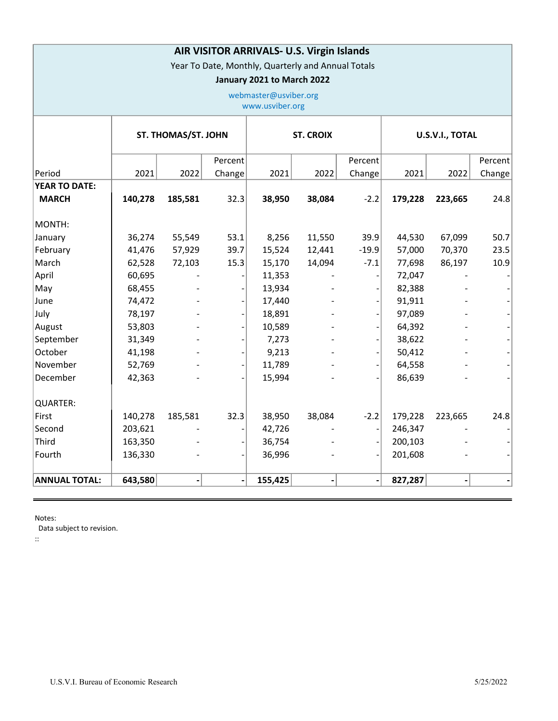## AIR VISITOR ARRIVALS- U.S. Virgin Islands

Year To Date, Monthly, Quarterly and Annual Totals

## January 2021 to March 2022

| webmaster@usviber.org<br>www.usviber.org |                            |                              |                |                  |        |         |                 |         |         |
|------------------------------------------|----------------------------|------------------------------|----------------|------------------|--------|---------|-----------------|---------|---------|
|                                          | <b>ST. THOMAS/ST. JOHN</b> |                              |                | <b>ST. CROIX</b> |        |         | U.S.V.I., TOTAL |         |         |
|                                          |                            |                              | Percent        |                  |        | Percent |                 |         | Percent |
| Period                                   | 2021                       | 2022                         | Change         | 2021             | 2022   | Change  | 2021            | 2022    | Change  |
| <b>YEAR TO DATE:</b>                     |                            |                              |                |                  |        |         |                 |         |         |
| <b>MARCH</b>                             | 140,278                    | 185,581                      | 32.3           | 38,950           | 38,084 | $-2.2$  | 179,228         | 223,665 | 24.8    |
| MONTH:                                   |                            |                              |                |                  |        |         |                 |         |         |
| January                                  | 36,274                     | 55,549                       | 53.1           | 8,256            | 11,550 | 39.9    | 44,530          | 67,099  | 50.7    |
| February                                 | 41,476                     | 57,929                       | 39.7           | 15,524           | 12,441 | $-19.9$ | 57,000          | 70,370  | 23.5    |
| March                                    | 62,528                     | 72,103                       | 15.3           | 15,170           | 14,094 | $-7.1$  | 77,698          | 86,197  | 10.9    |
| April                                    | 60,695                     |                              |                | 11,353           |        |         | 72,047          |         |         |
| May                                      | 68,455                     |                              |                | 13,934           |        |         | 82,388          |         |         |
| June                                     | 74,472                     |                              |                | 17,440           |        |         | 91,911          |         |         |
| July                                     | 78,197                     |                              |                | 18,891           |        |         | 97,089          |         |         |
| August                                   | 53,803                     |                              |                | 10,589           |        |         | 64,392          |         |         |
| September                                | 31,349                     |                              |                | 7,273            |        |         | 38,622          |         |         |
| October                                  | 41,198                     |                              |                | 9,213            |        |         | 50,412          |         |         |
| November                                 | 52,769                     |                              |                | 11,789           |        |         | 64,558          |         |         |
| December                                 | 42,363                     |                              |                | 15,994           |        |         | 86,639          |         |         |
| <b>QUARTER:</b>                          |                            |                              |                |                  |        |         |                 |         |         |
| First                                    | 140,278                    | 185,581                      | 32.3           | 38,950           | 38,084 | $-2.2$  | 179,228         | 223,665 | 24.8    |
| Second                                   | 203,621                    |                              |                | 42,726           |        |         | 246,347         |         |         |
| Third                                    | 163,350                    |                              |                | 36,754           |        |         | 200,103         |         |         |
| Fourth                                   | 136,330                    |                              |                | 36,996           |        |         | 201,608         |         |         |
| <b>ANNUAL TOTAL:</b>                     | 643,580                    | $\qquad \qquad \blacksquare$ | $\blacksquare$ | 155,425          |        |         | 827,287         |         |         |

Notes:

Data subject to revision.

::